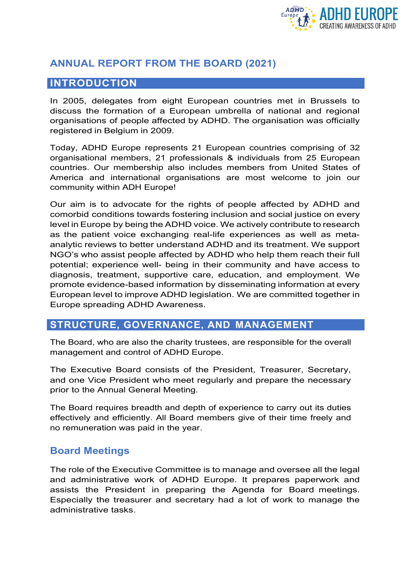

# **ANNUAL REPORT FROM THE BOARD (2021)**

## **INTRODUCTION**

In 2005, delegates from eight European countries met in Brussels to discuss the formation of a European umbrella of national and regional organisations of people affected by ADHD. The organisation was officially registered in Belgium in 2009.

Today, ADHD Europe represents 21 European countries comprising of 32 organisational members, 21 professionals & individuals from 25 European countries. Our membership also includes members from United States of America and international organisations are most welcome to join our community within ADH Europe!

Our aim is to advocate for the rights of people affected by ADHD and comorbid conditions towards fostering inclusion and social justice on every level in Europe by being the ADHD voice. We actively contribute to research as the patient voice exchanging real-life experiences as well as metaanalytic reviews to better understand ADHD and its treatment. We support NGO's who assist people affected by ADHD who help them reach their full potential; experience well- being in their community and have access to diagnosis, treatment, supportive care, education, and employment. We promote evidence-based information by disseminating information at every European level to improve ADHD legislation. We are committed together in Europe spreading ADHD Awareness.

## **STRUCTURE, GOVERNANCE, AND MANAGEMENT**

The Board, who are also the charity trustees, are responsible for the overall management and control of ADHD Europe.

The Executive Board consists of the President, Treasurer, Secretary, and one Vice President who meet regularly and prepare the necessary prior to the Annual General Meeting.

The Board requires breadth and depth of experience to carry out its duties effectively and efficiently. All Board members give of their time freely and no remuneration was paid in the year.

## **Board Meetings**

The role of the Executive Committee is to manage and oversee all the legal and administrative work of ADHD Europe. It prepares paperwork and assists the President in preparing the Agenda for Board meetings. Especially the treasurer and secretary had a lot of work to manage the administrative tasks.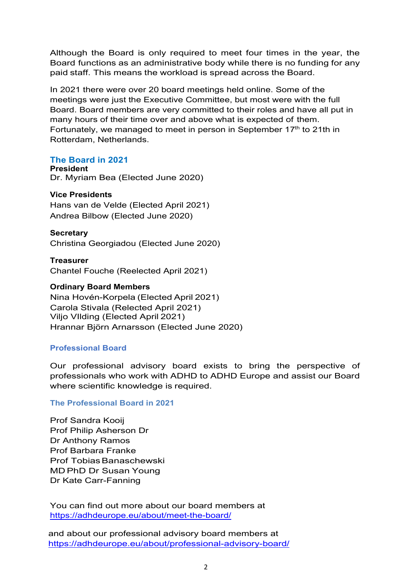Although the Board is only required to meet four times in the year, the Board functions as an administrative body while there is no funding for any paid staff. This means the workload is spread across the Board.

In 2021 there were over 20 board meetings held online. Some of the meetings were just the Executive Committee, but most were with the full Board. Board members are very committed to their roles and have all put in many hours of their time over and above what is expected of them. Fortunately, we managed to meet in person in September  $17<sup>th</sup>$  to 21th in Rotterdam, Netherlands.

### **The Board in 2021**

**President** Dr. Myriam Bea (Elected June 2020)

#### **Vice Presidents**

Hans van de Velde (Elected April 2021) Andrea Bilbow (Elected June 2020)

#### **Secretary**

Christina Georgiadou (Elected June 2020)

**Treasurer** Chantel Fouche (Reelected April 2021)

#### **Ordinary Board Members**

Nina Hovén-Korpela (Elected April 2021) Carola Stivala (Relected April 2021) Viljo VIlding (Elected April 2021) Hrannar Björn Arnarsson (Elected June 2020)

### **Professional Board**

Our professional advisory board exists to bring the perspective of professionals who work with ADHD to ADHD Europe and assist our Board where scientific knowledge is required.

#### **The Professional Board in 2021**

Prof Sandra Kooij Prof Philip Asherson Dr Dr Anthony Ramos Prof Barbara Franke Prof Tobias Banaschewski MDPhD Dr Susan Young Dr Kate Carr-Fanning

You can find out more about our board members at <https://adhdeurope.eu/about/meet-the-board/>

and about our professional advisory board members at <https://adhdeurope.eu/about/professional-advisory-board/>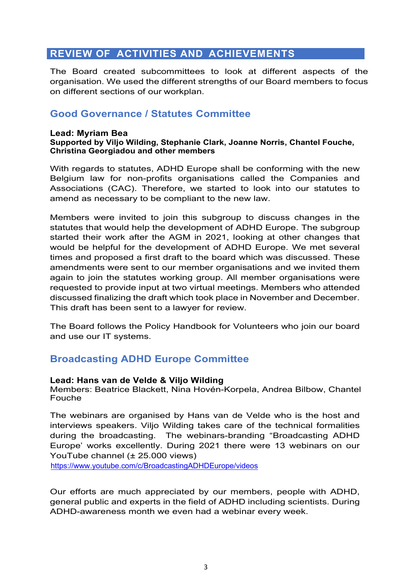# **REVIEW OF ACTIVITIES AND ACHIEVEMENTS**

The Board created subcommittees to look at different aspects of the organisation. We used the different strengths of our Board members to focus on different sections of our workplan.

## **Good Governance / Statutes Committee**

#### **Lead: Myriam Bea**

**Supported by Viljo Wilding, Stephanie Clark, Joanne Norris, Chantel Fouche, Christina Georgiadou and other members**

With regards to statutes, ADHD Europe shall be conforming with the new Belgium law for non-profits organisations called the Companies and Associations (CAC). Therefore, we started to look into our statutes to amend as necessary to be compliant to the new law.

Members were invited to join this subgroup to discuss changes in the statutes that would help the development of ADHD Europe. The subgroup started their work after the AGM in 2021, looking at other changes that would be helpful for the development of ADHD Europe. We met several times and proposed a first draft to the board which was discussed. These amendments were sent to our member organisations and we invited them again to join the statutes working group. All member organisations were requested to provide input at two virtual meetings. Members who attended discussed finalizing the draft which took place in November and December. This draft has been sent to a lawyer for review.

The Board follows the Policy Handbook for Volunteers who join our board and use our IT systems.

# **Broadcasting ADHD Europe Committee**

### **Lead: Hans van de Velde & Viljo Wilding**

Members: Beatrice Blackett, Nina Hovén-Korpela, Andrea Bilbow, Chantel Fouche

The webinars are organised by Hans van de Velde who is the host and interviews speakers. Viljo Wilding takes care of the technical formalities during the broadcasting. The webinars-branding "Broadcasting ADHD Europe' works excellently. During 2021 there were 13 webinars on our YouTube channel (± 25.000 views)

<https://www.youtube.com/c/BroadcastingADHDEurope/videos>

Our efforts are much appreciated by our members, people with ADHD, general public and experts in the field of ADHD including scientists. During ADHD-awareness month we even had a webinar every week.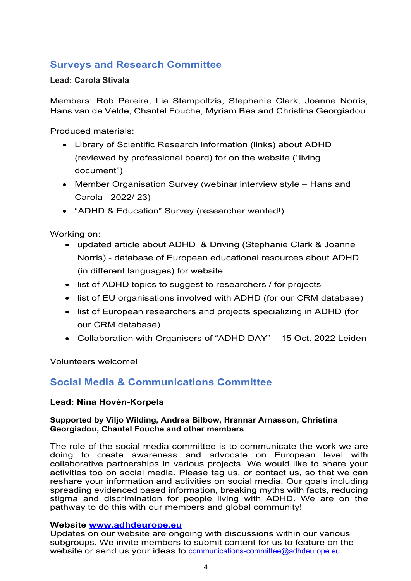# **Surveys and Research Committee**

### **Lead: Carola Stivala**

Members: Rob Pereira, Lia Stampoltzis, Stephanie Clark, Joanne Norris, Hans van de Velde, Chantel Fouche, Myriam Bea and Christina Georgiadou.

Produced materials:

- Library of Scientific Research information (links) about ADHD (reviewed by professional board) for on the website ("living document")
- Member Organisation Survey (webinar interview style Hans and Carola 2022/ 23)
- "ADHD & Education" Survey (researcher wanted!)

Working on:

- updated article about ADHD & Driving (Stephanie Clark & Joanne Norris) - database of European educational resources about ADHD (in different languages) for website
- list of ADHD topics to suggest to researchers / for projects
- list of EU organisations involved with ADHD (for our CRM database)
- list of European researchers and projects specializing in ADHD (for our CRM database)
- Collaboration with Organisers of "ADHD DAY" 15 Oct. 2022 Leiden

Volunteers welcome!

# **Social Media & Communications Committee**

### **Lead: Nina Hovén-Korpela**

#### **Supported by Viljo Wilding, Andrea Bilbow, Hrannar Arnasson, Christina Georgiadou, Chantel Fouche and other members**

The role of the social media committee is to communicate the work we are doing to create awareness and advocate on European level with collaborative partnerships in various projects. We would like to share your activities too on social media. Please tag us, or contact us, so that we can reshare your information and activities on social media. Our goals including spreading evidenced based information, breaking myths with facts, reducing stigma and discrimination for people living with ADHD. We are on the pathway to do this with our members and global community!

#### **Website [www.adhdeurope.eu](http://www.adhdeurope.eu/)**

Updates on our website are ongoing with discussions within our various subgroups. We invite members to submit content for us to feature on the website or send us your ideas to [communications-committee@adhdeurope.eu](mailto:communications-committee@adhdeurope.eu)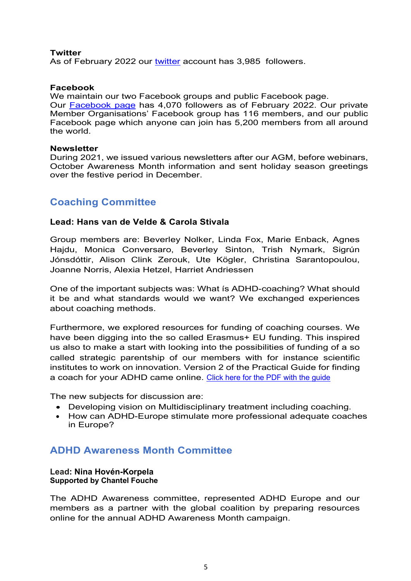#### **Twitter**

As of February 2022 our [twitter](https://twitter.com/ADHD_Europe) account has 3,985 followers.

#### **Facebook**

We maintain our two Facebook groups and public Facebook page.

Our [Facebook page](https://www.facebook.com/adhdeurope) has 4,070 followers as of February 2022. Our private Member Organisations' Facebook group has 116 members, and our public Facebook page which anyone can join has 5,200 members from all around the world.

#### **Newsletter**

During 2021, we issued various newsletters after our AGM, before webinars, October Awareness Month information and sent holiday season greetings over the festive period in December.

## **Coaching Committee**

#### **Lead: Hans van de Velde & Carola Stivala**

Group members are: Beverley Nolker, Linda Fox, Marie Enback, Agnes Hajdu, Monica Conversaro, Beverley Sinton, Trish Nymark, Sigrún Jónsdóttir, Alison Clink Zerouk, Ute Kögler, Christina Sarantopoulou, Joanne Norris, Alexia Hetzel, Harriet Andriessen

One of the important subjects was: What ís ADHD-coaching? What should it be and what standards would we want? We exchanged experiences about coaching methods.

Furthermore, we explored resources for funding of coaching courses. We have been digging into the so called Erasmus+ EU funding. This inspired us also to make a start with looking into the possibilities of funding of a so called strategic parentship of our members with for instance scientific institutes to work on innovation. Version 2 of the Practical Guide for finding a coach for your ADHD came online. [Click here for the PDF with the guide](https://adhdeurope.eu/wp-content/uploads/2020/08/Practical-Guide-finding-coach-for-your-ADHD-v29June20-.pdf) 

The new subjects for discussion are:

- Developing vision on Multidisciplinary treatment including coaching.
- How can ADHD-Europe stimulate more professional adequate coaches in Europe?

## **ADHD Awareness Month Committee**

#### **Lead: Nina Hovén-Korpela Supported by Chantel Fouche**

The ADHD Awareness committee, represented ADHD Europe and our members as a partner with the global coalition by preparing resources online for the annual ADHD Awareness Month campaign.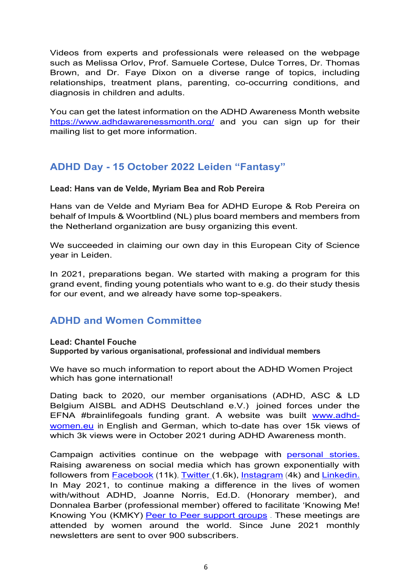Videos from experts and professionals were released on the webpage such as Melissa Orlov, Prof. Samuele Cortese, Dulce Torres, Dr. Thomas Brown, and Dr. Faye Dixon on a diverse range of topics, including relationships, treatment plans, parenting, co-occurring conditions, and diagnosis in children and adults.

You can get the latest information on the ADHD Awareness Month website <https://www.adhdawarenessmonth.org/> and you can sign up for their mailing list to get more information.

# **ADHD Day - 15 October 2022 Leiden "Fantasy"**

#### **Lead: Hans van de Velde, Myriam Bea and Rob Pereira**

Hans van de Velde and Myriam Bea for ADHD Europe & Rob Pereira on behalf of Impuls & Woortblind (NL) plus board members and members from the Netherland organization are busy organizing this event.

We succeeded in claiming our own day in this European City of Science year in Leiden.

In 2021, preparations began. We started with making a program for this grand event, finding young potentials who want to e.g. do their study thesis for our event, and we already have some top-speakers.

# **ADHD and Women Committee**

#### **Lead: Chantel Fouche**

**Supported by various organisational, professional and individual members**

We have so much information to report about the ADHD Women Project which has gone international!

Dating back to 2020, our member organisations [\(ADHD, ASC & LD](https://www.adhd-edu.be/Web/)  [Belgium AISBL](https://www.adhd-edu.be/Web/) and [ADHS Deutschland e.V.\)](https://www.adhs-deutschland.de/Home.aspx) joined forces under the EFNA #brainlifegoals funding grant. A website was built [www.adhd](http://www.adhd-women.eu/)[women.eu](http://www.adhd-women.eu/) in [English](https://adhd-women.eu/resources/personal-stories/) and German, which to-date has over 15k views of which 3k views were in October 2021 during ADHD Awareness month.

Campaign activities continue on the webpage with **[personal stories](https://adhd-women.eu/resources/personal-stories/)**. Raising awareness on social media which has grown exponentially with followers from [Facebook](https://www.facebook.com/ADHDWomen2020) (11k), [Twitter](https://twitter.com/WomenAdhd) (1.6k), [Instagram](https://www.instagram.com/adhdwomen2020/) (4k) and [Linkedin.](https://www.linkedin.com/groups/9031488/) In May 2021, to continue making a difference in the lives of women with/without ADHD, Joanne Norris, Ed.D. (Honorary member), and Donnalea Barber (professional member) offered to facilitate 'Knowing Me! Knowing You (KMKY) [Peer to Peer support groups](https://adhd-women.eu/support-guidelines/support-groups/). These meetings are attended by women around the world. Since June 2021 monthly newsletters are sent to over 900 subscribers.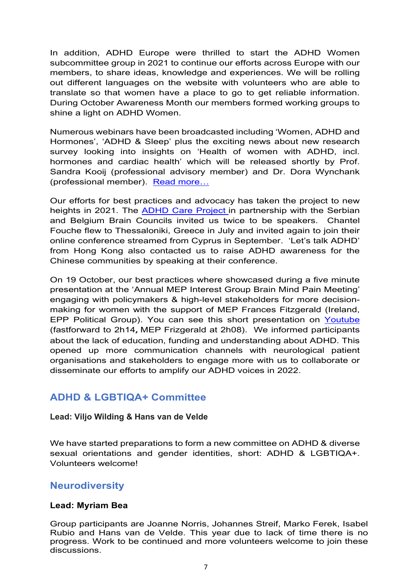In addition, ADHD Europe were thrilled to start the ADHD Women subcommittee group in 2021 to continue our efforts across Europe with our members, to share ideas, knowledge and experiences. We will be rolling out different languages on the website with volunteers who are able to translate so that women have a place to go to get reliable information. During October Awareness Month our members formed working groups to shine a light on ADHD Women.

Numerous webinars have been broadcasted including 'Women, ADHD and Hormones', 'ADHD & Sleep' plus the exciting news about new research survey looking into insights on 'Health of women with ADHD, incl. hormones and cardiac health' which will be released shortly by Prof. Sandra Kooij (professional advisory member) and Dr. Dora Wynchank (professional member). [Read more…](https://adhd-women.eu/videos-for-women/)

Our efforts for best practices and advocacy has taken the project to new heights in 2021. The [ADHD Care Project](http://adhdcare.eu/) in partnership with the Serbian and Belgium Brain Councils invited us twice to be speakers. Chantel Fouche flew to Thessaloniki, Greece in July and invited again to join their online conference streamed from Cyprus in September. 'Let's talk ADHD' from Hong Kong also contacted us to raise ADHD awareness for the Chinese communities by speaking at their conference.

On 19 October, our best practices where showcased during a five minute presentation at the 'Annual MEP Interest Group Brain Mind Pain Meeting' engaging with policymakers & high-level stakeholders for more decisionmaking for women with the support of MEP Frances Fitzgerald (Ireland, EPP Political Group). You can see this short presentation on [Youtube](https://eur01.safelinks.protection.outlook.com/?url=https%3A%2F%2Fwww.youtube.com%2Fwatch%3Fv%3DUCzDDLKoHKc&data=04%7C01%7Cangela.palomares%40efic.org%7C03ec3c5d39994ad6d23b08d9e5632403%7C8d532306f5894278917d36506305078d%7C1%7C1%7C637793036245006339%7CUnknown%7CTWFpbGZsb3d8eyJWIjoiMC4wLjAwMDAiLCJQIjoiV2luMzIiLCJBTiI6Ik1haWwiLCJXVCI6Mn0%3D%7C3000&sdata=1qDWjkJTIzzkVWwxhtk6p%2FwKUF13RcV2yAUO%2FPG276Q%3D&reserved=0) (fastforward to 2h14**,** MEP Frizgerald at 2h08). We informed participants about the lack of education, funding and understanding about ADHD. This opened up more communication channels with neurological patient organisations and stakeholders to engage more with us to collaborate or disseminate our efforts to amplify our ADHD voices in 2022.

### **ADHD & LGBTIQA+ Committee**

#### **Lead: Viljo Wilding & Hans van de Velde**

We have started preparations to form a new committee on ADHD & diverse sexual orientations and gender identities, short: ADHD & LGBTIQA+. Volunteers welcome!

## **Neurodiversity**

### **Lead: Myriam Bea**

Group participants are Joanne Norris, Johannes Streif, Marko Ferek, Isabel Rubio and Hans van de Velde. This year due to lack of time there is no progress. Work to be continued and more volunteers welcome to join these discussions.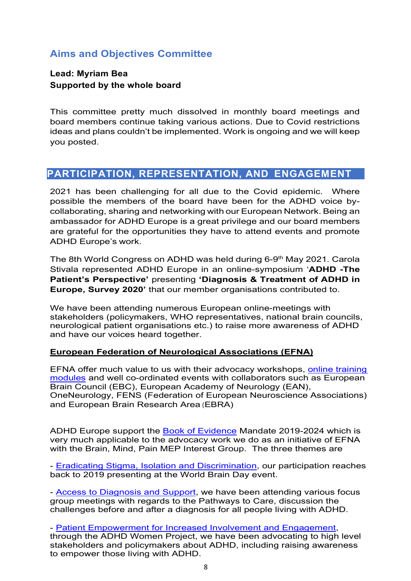# **Aims and Objectives Committee**

### **Lead: Myriam Bea Supported by the whole board**

This committee pretty much dissolved in monthly board meetings and board members continue taking various actions. Due to Covid restrictions ideas and plans couldn't be implemented. Work is ongoing and we will keep you posted.

## **PARTICIPATION, REPRESENTATION, AND ENGAGEMENT**

2021 has been challenging for all due to the Covid epidemic. Where possible the members of the board have been for the ADHD voice bycollaborating, sharing and networking with our European Network. Being an ambassador for ADHD Europe is a great privilege and our board members are grateful for the opportunities they have to attend events and promote ADHD Europe's work.

The 8th World Congress on ADHD was held during 6-9<sup>th</sup> May 2021. Carola Stivala represented ADHD Europe in an online-symposium '**ADHD -The Patient's Perspective'** presenting **'Diagnosis & Treatment of ADHD in Europe, Survey 2020'** that our member organisations contributed to.

We have been attending numerous European online-meetings with stakeholders (policymakers, WHO representatives, national brain councils, neurological patient organisations etc.) to raise more awareness of ADHD and have our voices heard together.

### **European Federation of Neurological Associations (EFNA)**

EFNA offer much value to us with their advocacy workshops, [online training](https://www.efna.net/elearning/)  [modules](https://www.efna.net/elearning/) and well co-ordinated events with collaborators such as European Brain Council (EBC), European Academy of Neurology (EAN), OneNeurology, FENS (Federation of European Neuroscience Associations) and European Brain Research Area **(**EBRA)

ADHD Europe support the [Book of Evidence](http://www.brainmindpain.eu/wp-content/uploads/2019/04/BMP-Book-of-Evidence-%E2%80%93-2019-2024-web.pdf) Mandate 2019-2024 which is very much applicable to the advocacy work we do as an initiative of EFNA with the Brain, Mind, Pain MEP Interest Group. The three themes are

- [Eradicating Stigma, Isolation and Discrimination,](http://www.brainmindpain.eu/wp-content/uploads/2020/12/Appendix-1-Eradicate-Stigma-Isolation-and-Discrimination-v03.pdf) our participation reaches back to 2019 presenting at the World Brain Day event.

- [Access to Diagnosis and Support,](http://www.brainmindpain.eu/wp-content/uploads/2020/12/Appendix-2-Access-to-Treatment-Services-and-Support-v03.pdf) we have been attending various focus group meetings with regards to the Pathways to Care, discussion the challenges before and after a diagnosis for all people living with ADHD.

- [Patient Empowerment for Increased Involvement and Engagement,](http://www.brainmindpain.eu/wp-content/uploads/2020/12/Appendix-3-Patient-Empowerment-for-Increased-Involvement-and-Engagement-v02.pdf) through the ADHD Women Project, we have been advocating to high level stakeholders and policymakers about ADHD, including raising awareness to empower those living with ADHD.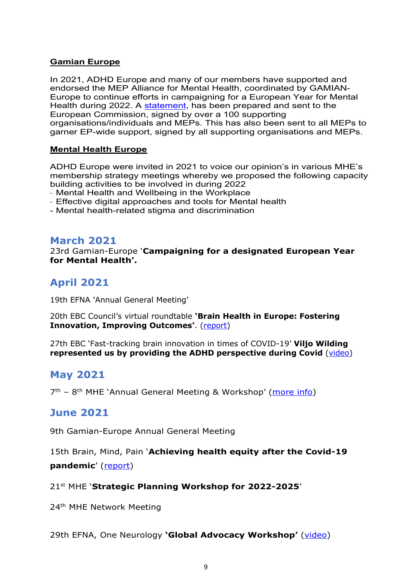### **Gamian Europe**

In 2021, ADHD Europe and many of our members have supported and endorsed the MEP Alliance for Mental Health, coordinated by GAMIAN-Europe to continue efforts in campaigning for a European Year for Mental Health during 2022. A [statement,](https://www.gamian.eu/wp-content/uploads/statement-EuropeanYearforMentalHealth.pdf) has been prepared and sent to the European Commission, signed by over a 100 supporting organisations/individuals and MEPs. This has also been sent to all MEPs to garner EP-wide support, signed by all supporting organisations and MEPs.

### **Mental Health Europe**

ADHD Europe were invited in 2021 to voice our opinion's in various MHE's membership strategy meetings whereby we proposed the following capacity building activities to be involved in during 2022

- Mental Health and Wellbeing in the Workplace
- Effective digital approaches and tools for Mental health
- Mental health-related stigma and discrimination

### **March 2021**

23rd Gamian-Europe '**Campaigning for a designated European Year for Mental Health'.**

## **April 2021**

19th EFNA 'Annual General Meeting'

20th EBC Council's virtual roundtable **'Brain Health in Europe: Fostering Innovation, Improving Outcomes'**. [\(report\)](https://www.braincouncil.eu/ebc-holds-policy-roundtable-on-brain-health-in-europe-fostering-innovation-improving-outcomes/)

27th EBC 'Fast-tracking brain innovation in times of COVID-19' **Viljo Wilding represented us by providing the ADHD perspective during Covid** [\(video\)](https://www.braininnovationdays.eu/fast-tracking-brain-innovation/)

## **May 2021**

7th – 8th MHE 'Annual General Meeting & Workshop' [\(more info\)](https://www.mhe-sme.org/newsroom/news/)

## **June 2021**

9th Gamian-Europe Annual General Meeting

15th Brain, Mind, Pain '**Achieving health equity after the Covid-19** 

**pandemic**' [\(report\)](http://www.brainmindpain.eu/june2021/)

21st MHE '**Strategic Planning Workshop for 2022-2025**'

24<sup>th</sup> MHE Network Meeting

#### 29th EFNA, One Neurology **'Global Advocacy Workshop'** [\(video\)](https://oneneurology.net/global-advocacy-workshop/)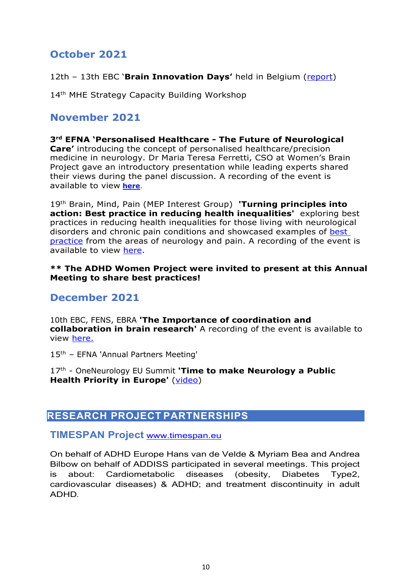# **October 2021**

12th – 13th EBC '**Brain Innovation Days'** held in Belgium [\(report\)](https://www.braininnovationdays.eu/)

14<sup>th</sup> MHE Strategy Capacity Building Workshop

# **November 2021**

**3rd EFNA 'Personalised Healthcare - The Future of Neurological Care'** introducing the concept of personalised healthcare/precision medicine in neurology. Dr Maria Teresa Ferretti, CSO at Women's Brain Project gave an introductory presentation while leading experts shared their views during the panel discussion. A recording of the event is available to view **[here](https://efna.us5.list-manage.com/track/click?u=7e60dc003c8cb079eeb6154ab&id=de992f5a23&e=dff0208f24)**.

19th Brain, Mind, Pain (MEP Interest Group) **'Turning principles into action: Best practice in reducing health inequalities'** exploring best practices in reducing health inequalities for those living with neurological disorders and chronic pain conditions and showcased examples of [best](http://www.brainmindpain.eu/bestpractices2021/)  [practice](http://www.brainmindpain.eu/bestpractices2021/) from the areas of neurology and pain. A recording of the event is available to view [here.](https://efna.cplus.live/event/turning-principles-into-action)

### **\*\* The ADHD Women Project were invited to present at this Annual Meeting to share best practices!**

# **December 2021**

10th EBC, FENS, EBRA **'The Importance of coordination and collaboration in brain research'** A recording of the event is available to view [here.](https://www.youtube.com/watch?v=eEVQyJoMwAE)

15<sup>th</sup> - EFNA 'Annual Partners Meeting'

17th - OneNeurology EU Summit **'Time to make Neurology a Public Health Priority in Europe'** [\(video\)](https://oneneurology.net/eu-summit/)

# **RESEARCH PROJECT PARTNERSHIPS**

### **TIMESPAN Project** [www.timespan.eu](http://www.timespan.eu/)

On behalf of ADHD Europe Hans van de Velde & Myriam Bea and Andrea Bilbow on behalf of ADDISS participated in several meetings. This project is about: Cardiometabolic diseases (obesity, Diabetes Type2, cardiovascular diseases) & ADHD; and treatment discontinuity in adult ADHD.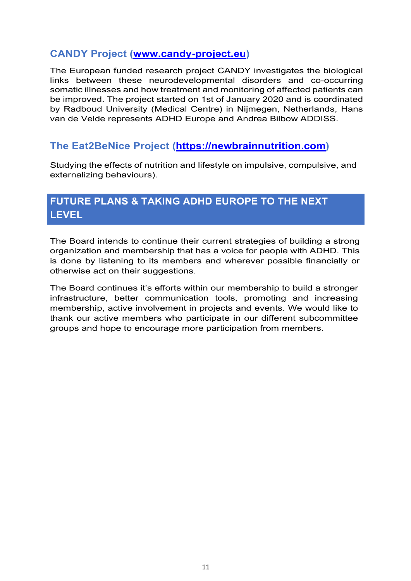# **CANDY Project [\(www.candy-project.eu\)](http://www.candy-project.eu/)**

The European funded research project CANDY investigates the biological links between these neurodevelopmental disorders and co-occurring somatic illnesses and how treatment and monitoring of affected patients can be improved. The project started on 1st of January 2020 and is coordinated by Radboud University (Medical Centre) in Nijmegen, Netherlands, Hans van de Velde represents ADHD Europe and Andrea Bilbow ADDISS.

# **The Eat2BeNice Project [\(https://newbrainnutrition.com\)](https://newbrainnutrition.com/)**

Studying the effects of nutrition and lifestyle on impulsive, compulsive, and externalizing behaviours).

# **FUTURE PLANS & TAKING ADHD EUROPE TO THE NEXT LEVEL**

The Board intends to continue their current strategies of building a strong organization and membership that has a voice for people with ADHD. This is done by listening to its members and wherever possible financially or otherwise act on their suggestions.

The Board continues it's efforts within our membership to build a stronger infrastructure, better communication tools, promoting and increasing membership, active involvement in projects and events. We would like to thank our active members who participate in our different subcommittee groups and hope to encourage more participation from members.